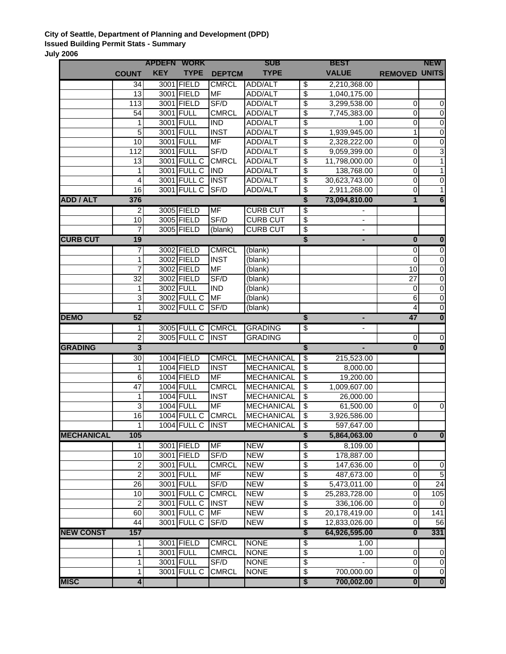## **City of Seattle, Department of Planning and Development (DPD) Issued Building Permit Stats - Summary July 2006**

|                   |                         | <b>APDEFN WORK</b> |                          |                             | <b>SUB</b>                             |                                                     | <b>BEST</b>              |                         | <b>NEW</b>              |
|-------------------|-------------------------|--------------------|--------------------------|-----------------------------|----------------------------------------|-----------------------------------------------------|--------------------------|-------------------------|-------------------------|
|                   | <b>COUNT</b>            | <b>KEY</b>         | <b>TYPE</b>              | <b>DEPTCM</b>               | <b>TYPE</b>                            |                                                     | <b>VALUE</b>             | <b>REMOVED</b>          | <b>UNITS</b>            |
|                   | 34                      |                    | 3001 FIELD               | <b>CMRCL</b>                | ADD/ALT                                | $\overline{\mathcal{E}}$                            | 2,210,368.00             |                         |                         |
|                   | 13                      |                    | 3001 FIELD               | MF                          | ADD/ALT                                | $\overline{\mathcal{S}}$                            | 1,040,175.00             |                         |                         |
|                   | $\overline{113}$        |                    | 3001 FIELD               | SF/D                        | ADD/ALT                                | $\overline{\$}$                                     | 3,299,538.00             | $\mathbf 0$             | $\overline{0}$          |
|                   | 54                      |                    | 3001 FULL                | <b>CMRCL</b>                | ADD/ALT                                | \$                                                  | 7,745,383.00             | $\mathbf 0$             | $\overline{0}$          |
|                   | 1                       |                    | 3001 FULL                | <b>IND</b>                  | ADD/ALT                                | \$                                                  | 1.00                     | $\mathbf 0$             | $\mathbf 0$             |
|                   | 5                       |                    | 3001 FULL                | <b>INST</b>                 | ADD/ALT                                | \$                                                  | 1,939,945.00             | 1                       | $\pmb{0}$               |
|                   | $\overline{10}$         |                    | 3001 FULL                | MF                          | ADD/ALT                                | \$                                                  | 2,328,222.00             | $\mathbf 0$             | $\pmb{0}$               |
|                   | 112                     |                    | 3001 FULL                | SF/D                        | ADD/ALT                                | \$                                                  | 9,059,399.00             | $\mathbf 0$             | 3                       |
|                   | 13                      |                    | 3001 FULL C              | <b>CMRCL</b>                | ADD/ALT                                | \$                                                  | 11,798,000.00            | $\mathbf 0$             | $\mathbf{1}$            |
|                   | 1                       |                    | 3001 FULL C              | <b>IND</b>                  | ADD/ALT                                | \$                                                  | 138,768.00               | $\mathbf 0$             | $\mathbf{1}$            |
|                   | 4                       |                    | 3001 FULL C              | <b>INST</b>                 | ADD/ALT                                | \$                                                  | 30,623,743.00            | $\mathbf 0$             | $\pmb{0}$               |
|                   | 16                      |                    | 3001 FULL C              | SF/D                        | ADD/ALT                                | \$                                                  | 2,911,268.00             | 0                       | 1                       |
| <b>ADD / ALT</b>  | 376                     |                    |                          |                             |                                        | \$                                                  | 73,094,810.00            | 1                       | $6\overline{6}$         |
|                   | $\overline{a}$          |                    | 3005 FIELD               | MF                          | <b>CURB CUT</b>                        | \$                                                  |                          |                         |                         |
|                   | 10                      |                    | 3005 FIELD               | SF/D                        | <b>CURB CUT</b>                        | \$                                                  |                          |                         |                         |
|                   | 7                       |                    | 3005 FIELD               | (blank)                     | <b>CURB CUT</b>                        | $\overline{\mathcal{E}}$                            | $\overline{\phantom{a}}$ |                         |                         |
| <b>CURB CUT</b>   | 19                      |                    |                          |                             |                                        | \$                                                  | ٠                        | $\overline{\mathbf{0}}$ | $\bullet$               |
|                   | 7                       |                    | 3002 FIELD               | <b>CMRCL</b>                | (blank)                                |                                                     |                          | $\mathbf 0$             | $\overline{0}$          |
|                   |                         |                    | 3002 FIELD               | <b>INST</b>                 | (blank)                                |                                                     |                          | $\Omega$                | $\pmb{0}$               |
|                   | 7                       |                    | 3002 FIELD               | <b>MF</b>                   | (blank)                                |                                                     |                          | 10                      | 0                       |
|                   | 32                      |                    | 3002 FIELD               | SF/D                        | (blank)                                |                                                     |                          | 27                      | $\pmb{0}$               |
|                   | 1                       |                    | 3002 FULL                | <b>IND</b>                  | (blank)                                |                                                     |                          | 0                       | 0                       |
|                   | 3                       |                    | 3002 FULL C              | <b>MF</b>                   | (blank)                                |                                                     |                          | 6                       | 0                       |
|                   | 1                       |                    | 3002 FULL C              | SF/D                        | (blank)                                |                                                     |                          | $\overline{4}$          | $\overline{0}$          |
| <b>DEMO</b>       | 52                      |                    |                          |                             |                                        | \$                                                  |                          | 47                      | $\overline{\mathbf{0}}$ |
|                   | $\mathbf{1}$            |                    | 3005 FULL C              | <b>CMRCL</b>                | <b>GRADING</b>                         | $\overline{\mathcal{E}}$                            |                          |                         |                         |
|                   | $\overline{2}$          |                    | 3005 FULL C              | <b>INST</b>                 | <b>GRADING</b>                         |                                                     |                          | 0                       | $\pmb{0}$               |
| <b>GRADING</b>    | $\overline{3}$          |                    |                          |                             |                                        | \$                                                  |                          | $\bf{0}$                | $\overline{\mathbf{0}}$ |
|                   | 30<br>1                 |                    | 1004 FIELD<br>1004 FIELD | <b>CMRCL</b><br><b>INST</b> | <b>MECHANICAL</b><br><b>MECHANICAL</b> | $\overline{\mathcal{E}}$<br>$\overline{\mathbf{e}}$ | 215,523.00<br>8,000.00   |                         |                         |
|                   | 6                       |                    | 1004 FIELD               | <b>MF</b>                   | <b>MECHANICAL</b>                      | $\overline{\$}$                                     | 19,200.00                |                         |                         |
|                   | $\overline{47}$         |                    | <b>1004 FULL</b>         | <b>CMRCL</b>                | <b>MECHANICAL</b>                      | \$                                                  | 1,009,607.00             |                         |                         |
|                   | 1                       |                    | <b>1004 FULL</b>         | <b>INST</b>                 | <b>MECHANICAL</b>                      | \$                                                  | 26,000.00                |                         |                         |
|                   | 3                       |                    | <b>1004 FULL</b>         | <b>MF</b>                   | <b>MECHANICAL</b>                      | $\overline{\$}$                                     | 61,500.00                | $\mathbf 0$             | $\overline{0}$          |
|                   | 16                      |                    | 1004 FULL C              | <b>CMRCL</b>                | <b>MECHANICAL</b>                      | \$                                                  | 3,926,586.00             |                         |                         |
|                   | 1                       |                    | <b>1004 FULL C</b>       | <b>INST</b>                 | <b>MECHANICAL</b>                      | $\overline{\$}$                                     | 597,647.00               |                         |                         |
| <b>MECHANICAL</b> | 105                     |                    |                          |                             |                                        | \$                                                  | 5,864,063.00             | $\bf{0}$                | $\overline{\mathbf{0}}$ |
|                   | 1                       |                    | 3001 FIELD               | <b>MF</b>                   | <b>NEW</b>                             | \$                                                  | 8,109.00                 |                         |                         |
|                   | $\overline{10}$         |                    | 3001 FIELD               | SF/D                        | <b>NEW</b>                             | \$                                                  | 178,887.00               |                         |                         |
|                   | 2                       |                    | 3001 FULL                | <b>CMRCL</b>                | <b>NEW</b>                             | \$                                                  | 147,636.00               | $\mathbf 0$             | $\overline{0}$          |
|                   | $\overline{2}$          |                    | 3001 FULL                | MF                          | <b>NEW</b>                             | \$                                                  | 487,673.00               | $\overline{0}$          | $\overline{5}$          |
|                   | $\overline{26}$         |                    | 3001 FULL                | SF/D                        | <b>NEW</b>                             | \$                                                  | 5,473,011.00             | $\mathbf 0$             | $\overline{24}$         |
|                   | 10                      |                    | 3001 FULL C              | <b>CMRCL</b>                | <b>NEW</b>                             | \$                                                  | 25,283,728.00            | $\mathbf 0$             | 105                     |
|                   | $\overline{c}$          |                    | 3001 FULL C              | <b>INST</b>                 | <b>NEW</b>                             | \$                                                  | 336,106.00               | $\mathbf 0$             | 0                       |
|                   | 60                      |                    | 3001 FULL C              | <b>MF</b>                   | <b>NEW</b>                             | \$                                                  | 20,178,419.00            | $\pmb{0}$               | 141                     |
|                   | 44                      |                    | 3001 FULL C              | SF/D                        | <b>NEW</b>                             | \$                                                  | 12,833,026.00            | $\mathbf 0$             | 56                      |
| <b>NEW CONST</b>  | 157                     |                    |                          |                             |                                        | $\overline{\$}$                                     | 64,926,595.00            | $\bf{0}$                | 331                     |
|                   | 1                       |                    | 3001 FIELD               | <b>CMRCL</b>                | <b>NONE</b>                            | \$                                                  | 1.00                     |                         |                         |
|                   | 1                       |                    | 3001 FULL                | <b>CMRCL</b>                | <b>NONE</b>                            | \$                                                  | 1.00                     | $\pmb{0}$               | $\pmb{0}$               |
|                   | 1                       |                    | 3001 FULL                | SF/D                        | <b>NONE</b>                            | \$                                                  |                          | $\mathbf 0$             | $\overline{0}$          |
|                   | 1                       |                    | 3001 FULL C              | <b>CMRCL</b>                | <b>NONE</b>                            | \$                                                  | 700,000.00               | $\mathbf 0$             | $\overline{0}$          |
| <b>MISC</b>       | $\overline{\mathbf{4}}$ |                    |                          |                             |                                        | $\overline{\boldsymbol{\mathsf{s}}}$                | 700,002.00               | $\mathbf{0}$            | $\overline{\mathbf{0}}$ |